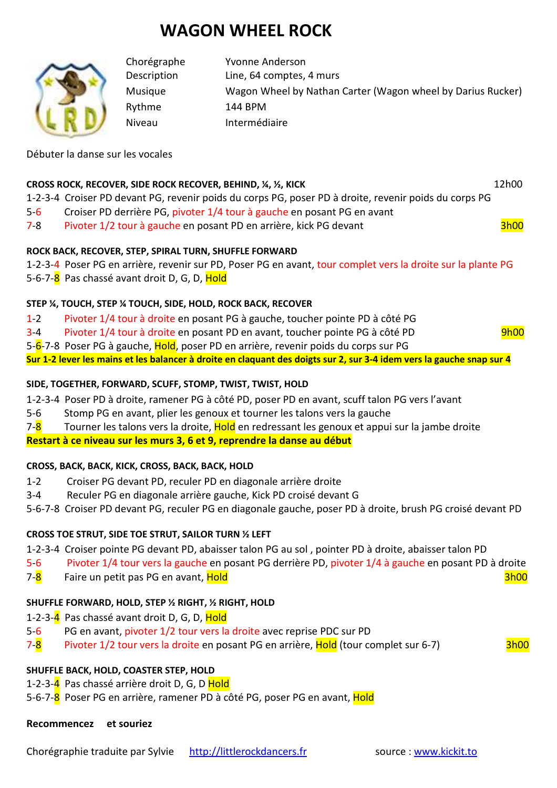# **WAGON WHEEL ROCK**

Chorégraphe Yvonne Anderson Description Line, 64 comptes, 4 murs Musique Wagon Wheel by Nathan Carter (Wagon wheel by Darius Rucker) Rythme 144 BPM Niveau Intermédiaire

Débuter la danse sur les vocales

#### **CROSS ROCK, RECOVER, SIDE ROCK RECOVER, BEHIND, ¼, ½, KICK 12h00** 12h00

1-2-3-4 Croiser PD devant PG, revenir poids du corps PG, poser PD à droite, revenir poids du corps PG

- 5-6 Croiser PD derrière PG, pivoter 1/4 tour à gauche en posant PG en avant
- 7-8 Pivoter 1/2 tour à gauche en posant PD en arrière, kick PG devant

#### **ROCK BACK, RECOVER, STEP, SPIRAL TURN, SHUFFLE FORWARD**

- 1-2-3-4 Poser PG en arrière, revenir sur PD, Poser PG en avant, tour complet vers la droite sur la plante PG
- 5-6-7-8 Pas chassé avant droit D, G, D, Hold

# **STEP ¼, TOUCH, STEP ¼ TOUCH, SIDE, HOLD, ROCK BACK, RECOVER**

- 1-2 Pivoter 1/4 tour à droite en posant PG à gauche, toucher pointe PD à côté PG
- 3-4 Pivoter 1/4 tour à droite en posant PD en avant, toucher pointe PG à côté PD 9h00

5-6-7-8 Poser PG à gauche, Hold, poser PD en arrière, revenir poids du corps sur PG

**Sur 1-2 lever les mains et les balancer à droite en claquant des doigts sur 2, sur 3-4 idem vers la gauche snap sur 4** 

### **SIDE, TOGETHER, FORWARD, SCUFF, STOMP, TWIST, TWIST, HOLD**

- 1-2-3-4 Poser PD à droite, ramener PG à côté PD, poser PD en avant, scuff talon PG vers l'avant
- 5-6 Stomp PG en avant, plier les genoux et tourner les talons vers la gauche
- 7-8 Tourner les talons vers la droite, Hold en redressant les genoux et appui sur la jambe droite

**Restart à ce niveau sur les murs 3, 6 et 9, reprendre la danse au début**

#### **CROSS, BACK, BACK, KICK, CROSS, BACK, BACK, HOLD**

- 1-2 Croiser PG devant PD, reculer PD en diagonale arrière droite
- 3-4 Reculer PG en diagonale arrière gauche, Kick PD croisé devant G
- 5-6-7-8 Croiser PD devant PG, reculer PG en diagonale gauche, poser PD à droite, brush PG croisé devant PD

# **CROSS TOE STRUT, SIDE TOE STRUT, SAILOR TURN ½ LEFT**

1-2-3-4 Croiser pointe PG devant PD, abaisser talon PG au sol , pointer PD à droite, abaisser talon PD

- 5-6 Pivoter 1/4 tour vers la gauche en posant PG derrière PD, pivoter 1/4 à gauche en posant PD à droite
- 7-8 Faire un petit pas PG en avant, Hold 3h00

# **SHUFFLE FORWARD, HOLD, STEP ½ RIGHT, ½ RIGHT, HOLD**

- 1-2-3-4 Pas chassé avant droit D, G, D, Hold
- 5-6 PG en avant, pivoter 1/2 tour vers la droite avec reprise PDC sur PD
- 7-8 Pivoter 1/2 tour vers la droite en posant PG en arrière, Hold (tour complet sur 6-7) 3h00

# **SHUFFLE BACK, HOLD, COASTER STEP, HOLD**

- 1-2-3-4 Pas chassé arrière droit D, G, D Hold
- 5-6-7-8 Poser PG en arrière, ramener PD à côté PG, poser PG en avant, Hold

#### **Recommencez et souriez**

Chorégraphie traduite par Sylvie http://littlerockdancers.fr source : www.kickit.to